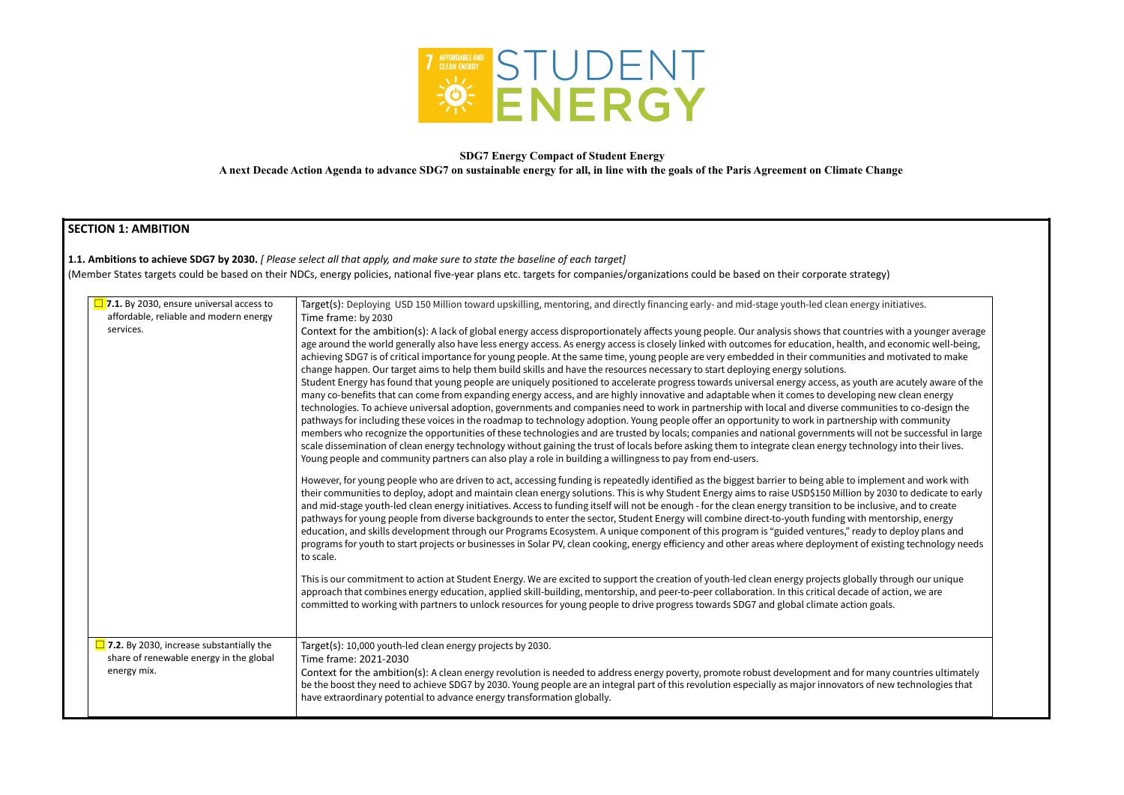

### **SDG7 Energy Compact of Student Energy**

**A next Decade Action Agenda to advance SDG7 on sustainable energy for all, in line with the goals of the Paris Agreement on Climate Change**

# **SECTION 1: AMBITION**

### **1.1. Ambitions to achieve SDG7 by 2030.** *[ Please select all that apply, and make sure to state the baseline of each target]*

(Member States targets could be based on their NDCs, energy policies, national five-year plans etc. targets for companies/organizations could be based on their corporate strategy)

| <b><math>\Box</math> 7.1.</b> By 2030, ensure universal access to                                            | Target(s): Deploying USD 150 Million toward upskilling, mentoring, and directly financing early- and mid-stage youth-led clean energy init                                                                                                                                                                                                                                                                                                                                                                                                                                                                                                                                                                                                                                                                                                                                                                                                                                                                                                                                                                                                                                                                                                                                                                                                                                                                                                                                                                                                        |
|--------------------------------------------------------------------------------------------------------------|---------------------------------------------------------------------------------------------------------------------------------------------------------------------------------------------------------------------------------------------------------------------------------------------------------------------------------------------------------------------------------------------------------------------------------------------------------------------------------------------------------------------------------------------------------------------------------------------------------------------------------------------------------------------------------------------------------------------------------------------------------------------------------------------------------------------------------------------------------------------------------------------------------------------------------------------------------------------------------------------------------------------------------------------------------------------------------------------------------------------------------------------------------------------------------------------------------------------------------------------------------------------------------------------------------------------------------------------------------------------------------------------------------------------------------------------------------------------------------------------------------------------------------------------------|
| affordable, reliable and modern energy                                                                       | Time frame: by 2030                                                                                                                                                                                                                                                                                                                                                                                                                                                                                                                                                                                                                                                                                                                                                                                                                                                                                                                                                                                                                                                                                                                                                                                                                                                                                                                                                                                                                                                                                                                               |
| services.                                                                                                    | Context for the ambition(s): A lack of global energy access disproportionately affects young people. Our analysis shows that countries wi<br>age around the world generally also have less energy access. As energy access is closely linked with outcomes for education, health, and ed<br>achieving SDG7 is of critical importance for young people. At the same time, young people are very embedded in their communities and m<br>change happen. Our target aims to help them build skills and have the resources necessary to start deploying energy solutions.<br>Student Energy has found that young people are uniquely positioned to accelerate progress towards universal energy access, as youth are<br>many co-benefits that can come from expanding energy access, and are highly innovative and adaptable when it comes to developing new<br>technologies. To achieve universal adoption, governments and companies need to work in partnership with local and diverse communities<br>pathways for including these voices in the roadmap to technology adoption. Young people offer an opportunity to work in partnership with<br>members who recognize the opportunities of these technologies and are trusted by locals; companies and national governments will not b<br>scale dissemination of clean energy technology without gaining the trust of locals before asking them to integrate clean energy technology<br>Young people and community partners can also play a role in building a willingness to pay from end-users. |
|                                                                                                              | However, for young people who are driven to act, accessing funding is repeatedly identified as the biggest barrier to being able to impleme<br>their communities to deploy, adopt and maintain clean energy solutions. This is why Student Energy aims to raise USD\$150 Million by 2030<br>and mid-stage youth-led clean energy initiatives. Access to funding itself will not be enough - for the clean energy transition to be inclusive<br>pathways for young people from diverse backgrounds to enter the sector, Student Energy will combine direct-to-youth funding with mentc<br>education, and skills development through our Programs Ecosystem. A unique component of this program is "guided ventures," ready to d<br>programs for youth to start projects or businesses in Solar PV, clean cooking, energy efficiency and other areas where deployment of existin<br>to scale.                                                                                                                                                                                                                                                                                                                                                                                                                                                                                                                                                                                                                                                       |
|                                                                                                              | This is our commitment to action at Student Energy. We are excited to support the creation of youth-led clean energy projects globally thro<br>approach that combines energy education, applied skill-building, mentorship, and peer-to-peer collaboration. In this critical decade of act<br>committed to working with partners to unlock resources for young people to drive progress towards SDG7 and global climate action goals.                                                                                                                                                                                                                                                                                                                                                                                                                                                                                                                                                                                                                                                                                                                                                                                                                                                                                                                                                                                                                                                                                                             |
| $\overline{\phantom{a}}$ 7.2. By 2030, increase substantially the<br>share of renewable energy in the global | Target(s): 10,000 youth-led clean energy projects by 2030.<br>Time frame: 2021-2030                                                                                                                                                                                                                                                                                                                                                                                                                                                                                                                                                                                                                                                                                                                                                                                                                                                                                                                                                                                                                                                                                                                                                                                                                                                                                                                                                                                                                                                               |
| energy mix.                                                                                                  | Context for the ambition(s): A clean energy revolution is needed to address energy poverty, promote robust development and for many of<br>be the boost they need to achieve SDG7 by 2030. Young people are an integral part of this revolution especially as major innovators of new<br>have extraordinary potential to advance energy transformation globally.                                                                                                                                                                                                                                                                                                                                                                                                                                                                                                                                                                                                                                                                                                                                                                                                                                                                                                                                                                                                                                                                                                                                                                                   |
|                                                                                                              |                                                                                                                                                                                                                                                                                                                                                                                                                                                                                                                                                                                                                                                                                                                                                                                                                                                                                                                                                                                                                                                                                                                                                                                                                                                                                                                                                                                                                                                                                                                                                   |

energy initiatives.

ountries with a younger average alth, and economic well-being, ities and motivated to make

syouth are acutely aware of the loping new clean energy ommunities to co-design the  $\rho$  ership with community s will not be successful in large technology into their lives.

o implement and work with ton by 2030 to dedicate to early e inclusive, and to create with mentorship, energy ready to deploy plans and nt of existing technology needs

Iobally through our unique cade of action, we are

for many countries ultimately ors of new technologies that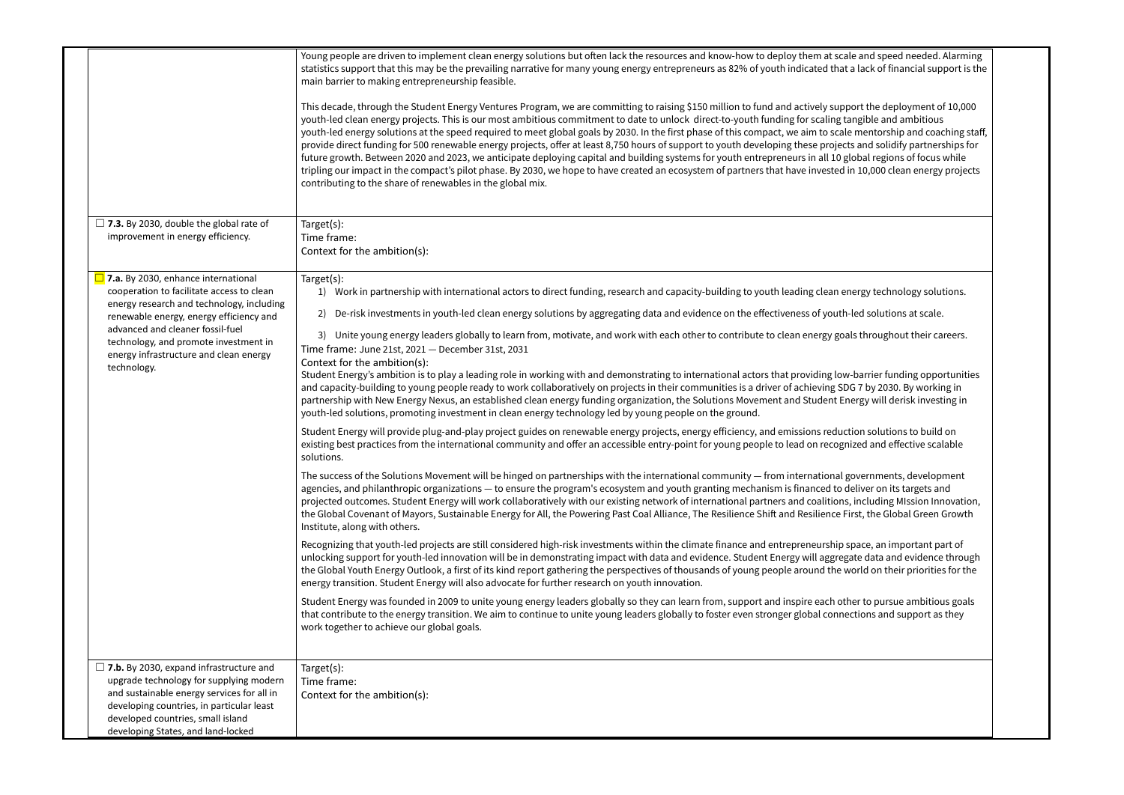|  |                                                                                                                                                                                                                                                                 | Young people are driven to implement clean energy solutions but often lack the resources and know-how to deploy them at scale and speed needed. Alarming<br>statistics support that this may be the prevailing narrative for many young energy entrepreneurs as 82% of youth indicated that a lack of financial support is the<br>main barrier to making entrepreneurship feasible.<br>This decade, through the Student Energy Ventures Program, we are committing to raising \$150 million to fund and actively support the deployment of 10,000<br>youth-led clean energy projects. This is our most ambitious commitment to date to unlock direct-to-youth funding for scaling tangible and ambitious<br>youth-led energy solutions at the speed required to meet global goals by 2030. In the first phase of this compact, we aim to scale mentorship and coaching staff,<br>provide direct funding for 500 renewable energy projects, offer at least 8,750 hours of support to youth developing these projects and solidify partnerships for<br>future growth. Between 2020 and 2023, we anticipate deploying capital and building systems for youth entrepreneurs in all 10 global regions of focus while<br>tripling our impact in the compact's pilot phase. By 2030, we hope to have created an ecosystem of partners that have invested in 10,000 clean energy projects<br>contributing to the share of renewables in the global mix. |
|--|-----------------------------------------------------------------------------------------------------------------------------------------------------------------------------------------------------------------------------------------------------------------|-------------------------------------------------------------------------------------------------------------------------------------------------------------------------------------------------------------------------------------------------------------------------------------------------------------------------------------------------------------------------------------------------------------------------------------------------------------------------------------------------------------------------------------------------------------------------------------------------------------------------------------------------------------------------------------------------------------------------------------------------------------------------------------------------------------------------------------------------------------------------------------------------------------------------------------------------------------------------------------------------------------------------------------------------------------------------------------------------------------------------------------------------------------------------------------------------------------------------------------------------------------------------------------------------------------------------------------------------------------------------------------------------------------------------------------------------|
|  |                                                                                                                                                                                                                                                                 |                                                                                                                                                                                                                                                                                                                                                                                                                                                                                                                                                                                                                                                                                                                                                                                                                                                                                                                                                                                                                                                                                                                                                                                                                                                                                                                                                                                                                                                 |
|  | $\Box$ 7.3. By 2030, double the global rate of<br>improvement in energy efficiency.                                                                                                                                                                             | Target(s):<br>Time frame:<br>Context for the ambition(s):                                                                                                                                                                                                                                                                                                                                                                                                                                                                                                                                                                                                                                                                                                                                                                                                                                                                                                                                                                                                                                                                                                                                                                                                                                                                                                                                                                                       |
|  | $\Box$ 7.a. By 2030, enhance international<br>cooperation to facilitate access to clean                                                                                                                                                                         | Target(s):<br>1) Work in partnership with international actors to direct funding, research and capacity-building to youth leading clean energy technology solutions.                                                                                                                                                                                                                                                                                                                                                                                                                                                                                                                                                                                                                                                                                                                                                                                                                                                                                                                                                                                                                                                                                                                                                                                                                                                                            |
|  | energy research and technology, including<br>renewable energy, energy efficiency and                                                                                                                                                                            | 2) De-risk investments in youth-led clean energy solutions by aggregating data and evidence on the effectiveness of youth-led solutions at scale.                                                                                                                                                                                                                                                                                                                                                                                                                                                                                                                                                                                                                                                                                                                                                                                                                                                                                                                                                                                                                                                                                                                                                                                                                                                                                               |
|  | advanced and cleaner fossil-fuel<br>technology, and promote investment in<br>energy infrastructure and clean energy<br>technology.                                                                                                                              | 3) Unite young energy leaders globally to learn from, motivate, and work with each other to contribute to clean energy goals throughout their careers.<br>Time frame: June 21st, 2021 - December 31st, 2031<br>Context for the ambition(s):                                                                                                                                                                                                                                                                                                                                                                                                                                                                                                                                                                                                                                                                                                                                                                                                                                                                                                                                                                                                                                                                                                                                                                                                     |
|  |                                                                                                                                                                                                                                                                 | Student Energy's ambition is to play a leading role in working with and demonstrating to international actors that providing low-barrier funding opportunities<br>and capacity-building to young people ready to work collaboratively on projects in their communities is a driver of achieving SDG 7 by 2030. By working in<br>partnership with New Energy Nexus, an established clean energy funding organization, the Solutions Movement and Student Energy will derisk investing in<br>youth-led solutions, promoting investment in clean energy technology led by young people on the ground.                                                                                                                                                                                                                                                                                                                                                                                                                                                                                                                                                                                                                                                                                                                                                                                                                                              |
|  |                                                                                                                                                                                                                                                                 | Student Energy will provide plug-and-play project guides on renewable energy projects, energy efficiency, and emissions reduction solutions to build on<br>existing best practices from the international community and offer an accessible entry-point for young people to lead on recognized and effective scalable<br>solutions.                                                                                                                                                                                                                                                                                                                                                                                                                                                                                                                                                                                                                                                                                                                                                                                                                                                                                                                                                                                                                                                                                                             |
|  |                                                                                                                                                                                                                                                                 | The success of the Solutions Movement will be hinged on partnerships with the international community - from international governments, development<br>agencies, and philanthropic organizations - to ensure the program's ecosystem and youth granting mechanism is financed to deliver on its targets and<br>projected outcomes. Student Energy will work collaboratively with our existing network of international partners and coalitions, including MIssion Innovation,<br>the Global Covenant of Mayors, Sustainable Energy for All, the Powering Past Coal Alliance, The Resilience Shift and Resilience First, the Global Green Growth<br>Institute, along with others.                                                                                                                                                                                                                                                                                                                                                                                                                                                                                                                                                                                                                                                                                                                                                                |
|  |                                                                                                                                                                                                                                                                 | Recognizing that youth-led projects are still considered high-risk investments within the climate finance and entrepreneurship space, an important part of<br>unlocking support for youth-led innovation will be in demonstrating impact with data and evidence. Student Energy will aggregate data and evidence through<br>the Global Youth Energy Outlook, a first of its kind report gathering the perspectives of thousands of young people around the world on their priorities for the<br>energy transition. Student Energy will also advocate for further research on youth innovation.                                                                                                                                                                                                                                                                                                                                                                                                                                                                                                                                                                                                                                                                                                                                                                                                                                                  |
|  |                                                                                                                                                                                                                                                                 | Student Energy was founded in 2009 to unite young energy leaders globally so they can learn from, support and inspire each other to pursue ambitious goals<br>that contribute to the energy transition. We aim to continue to unite young leaders globally to foster even stronger global connections and support as they<br>work together to achieve our global goals.                                                                                                                                                                                                                                                                                                                                                                                                                                                                                                                                                                                                                                                                                                                                                                                                                                                                                                                                                                                                                                                                         |
|  | $\Box$ 7.b. By 2030, expand infrastructure and<br>upgrade technology for supplying modern<br>and sustainable energy services for all in<br>developing countries, in particular least<br>developed countries, small island<br>developing States, and land-locked | Target(s):<br>Time frame:<br>Context for the ambition(s):                                                                                                                                                                                                                                                                                                                                                                                                                                                                                                                                                                                                                                                                                                                                                                                                                                                                                                                                                                                                                                                                                                                                                                                                                                                                                                                                                                                       |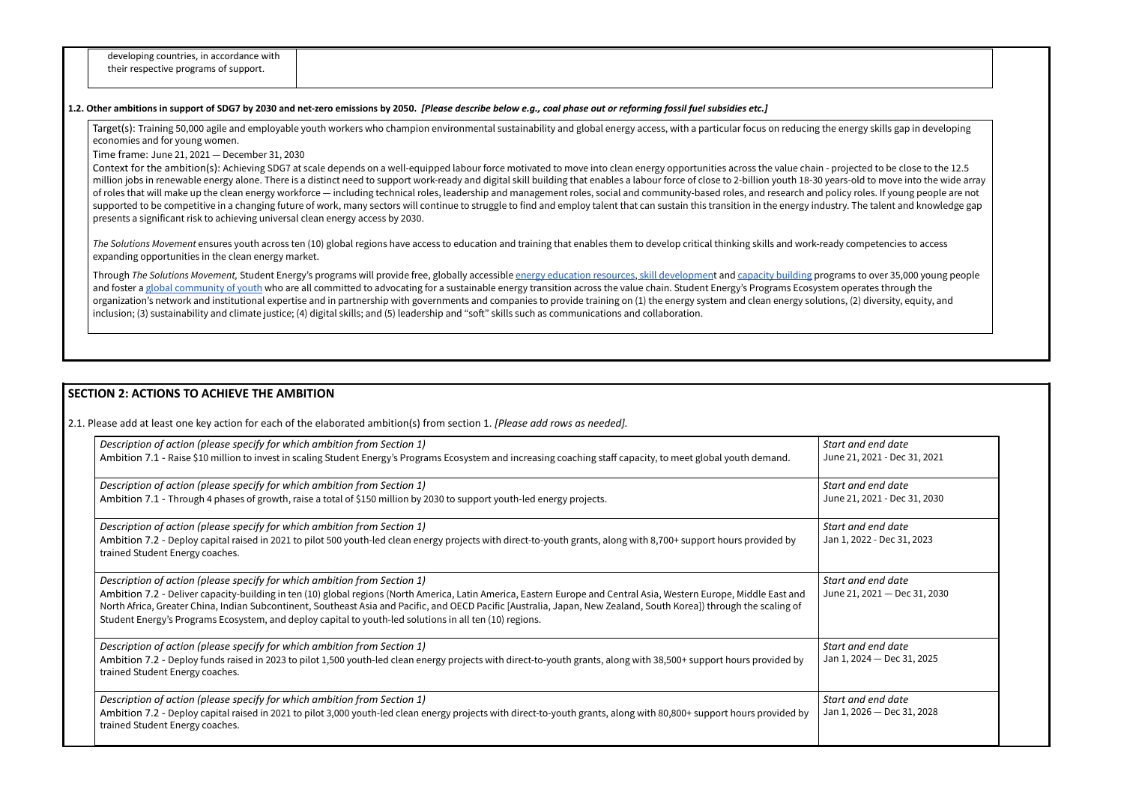| developing countries, in accordance with |
|------------------------------------------|
| their respective programs of support.    |
|                                          |

#### 1.2. Other ambitions in support of SDG7 by 2030 and net-zero emissions by 2050. [Please describe below e.g., coal phase out or reforming fossil fuel subsidies etc.]

Target(s): Training 50,000 agile and employable youth workers who champion environmental sustainability and global energy access, with a particular focus on reducing the energy skills gap in developing economies and for young women.

Time frame: June 21, 2021 — December 31, 2030

Context for the ambition(s): Achieving SDG7 at scale depends on a well-equipped labour force motivated to move into clean energy opportunities across the value chain - projected to be close to the 12.5 million jobs in renewable energy alone. There is a distinct need to support work-ready and digital skill building that enables a labour force of close to 2-billion youth 18-30 years-old to move into the wide array of roles that will make up the clean energy workforce — including technical roles, leadership and management roles, social and community-based roles, and research and policy roles. If young people are not supported to be competitive in a changing future of work, many sectors will continue to struggle to find and employ talent that can sustain this transition in the energy industry. The talent and knowledge gap presents a significant risk to achieving universal clean energy access by 2030.

> *Start and end date* 21, 2021 - Dec 31, 2021

> *Start and end date* 21, 2021 - Dec 31, 2030

*The Solutions Movement* ensures youth across ten (10) global regions have access to education and training that enables them to develop critical thinking skills and work-ready competencies to access expanding opportunities in the clean energy market.

> *Start and end date* 2022 - Dec 31, 2023

*Start and end date*  $21, 2021$  – Dec 31, 2030

Through *The Solutions Movement,* Student Energy's programs will provide free, globally accessible energy [education](https://www.studentenergy.org/map) resources, skill [developmen](https://www.studentenergy.org/leaders)t and [capacity](http://www.greenpreneurs.co/) building programs to over 35,000 young people and foster a global [community](https://www.studentenergy.org/chapters) of youth who are all committed to advocating for a sustainable energy transition across the value chain. Student Energy's Programs Ecosystem operates through the organization's network and institutional expertise and in partnership with governments and companies to provide training on (1) the energy system and clean energy solutions, (2) diversity, equity, and inclusion; (3) sustainability and climate justice; (4) digital skills; and (5) leadership and "soft" skills such as communications and collaboration.

> *Start and end date*  $2024 - Dec 31, 2025$

> *Start and end date*  $2026 - Dec 31, 2028$

# **SECTION 2: ACTIONS TO ACHIEVE THE AMBITION**

2.1. Please add at least one key action for each of the elaborated ambition(s) from section 1. *[Please add rows as needed].*

| Description of action (please specify for which ambition from Section 1)<br>Ambition 7.1 - Raise \$10 million to invest in scaling Student Energy's Programs Ecosystem and increasing coaching staff capacity, to meet global youth demand.                                                                                                                                                                                                           | Start o<br>June 2 |
|-------------------------------------------------------------------------------------------------------------------------------------------------------------------------------------------------------------------------------------------------------------------------------------------------------------------------------------------------------------------------------------------------------------------------------------------------------|-------------------|
| Description of action (please specify for which ambition from Section 1)                                                                                                                                                                                                                                                                                                                                                                              | Start o           |
| Ambition 7.1 - Through 4 phases of growth, raise a total of \$150 million by 2030 to support youth-led energy projects.                                                                                                                                                                                                                                                                                                                               | June 2            |
| Description of action (please specify for which ambition from Section 1)                                                                                                                                                                                                                                                                                                                                                                              | Start o           |
| Ambition 7.2 - Deploy capital raised in 2021 to pilot 500 youth-led clean energy projects with direct-to-youth grants, along with 8,700+ support hours provided by<br>trained Student Energy coaches.                                                                                                                                                                                                                                                 | Jan 1,            |
| Description of action (please specify for which ambition from Section 1)                                                                                                                                                                                                                                                                                                                                                                              | Start o           |
| Ambition 7.2 - Deliver capacity-building in ten (10) global regions (North America, Latin America, Eastern Europe and Central Asia, Western Europe, Middle East and<br>North Africa, Greater China, Indian Subcontinent, Southeast Asia and Pacific, and OECD Pacific [Australia, Japan, New Zealand, South Korea]) through the scaling of<br>Student Energy's Programs Ecosystem, and deploy capital to youth-led solutions in all ten (10) regions. | June 2            |
| Description of action (please specify for which ambition from Section 1)                                                                                                                                                                                                                                                                                                                                                                              | Start o           |
| Ambition 7.2 - Deploy funds raised in 2023 to pilot 1,500 youth-led clean energy projects with direct-to-youth grants, along with 38,500+ support hours provided by<br>trained Student Energy coaches.                                                                                                                                                                                                                                                | Jan 1,            |
| Description of action (please specify for which ambition from Section 1)                                                                                                                                                                                                                                                                                                                                                                              | Start d           |
| Ambition 7.2 - Deploy capital raised in 2021 to pilot 3,000 youth-led clean energy projects with direct-to-youth grants, along with 80,800+ support hours provided by<br>trained Student Energy coaches.                                                                                                                                                                                                                                              | Jan 1,            |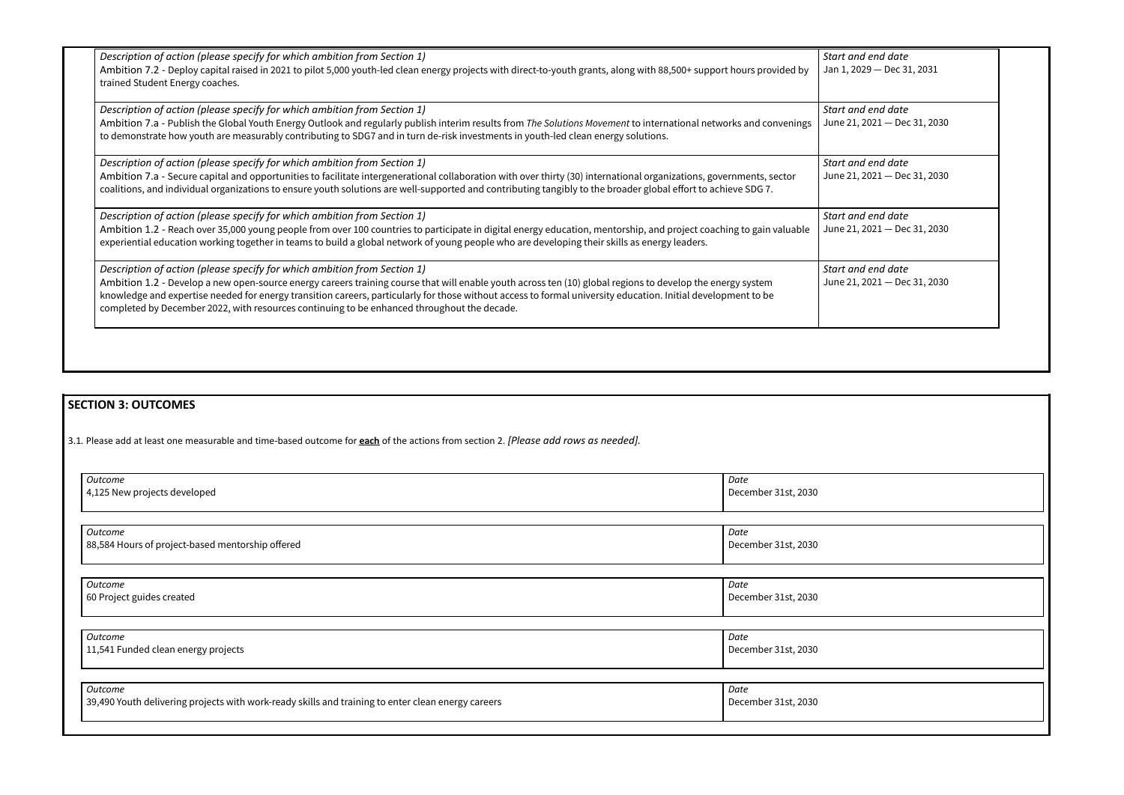*Start and end date* 2029 — Dec 31, 2031

*Start and end date*  $1, 2021$  – Dec 31, 2030

*Start and end date*  $1, 2021$  – Dec 31, 2030

*Start and end date*  $1, 2021$  – Dec 31, 2030

| Description of action (please specify for which ambition from Section 1)<br>Ambition 7.2 - Deploy capital raised in 2021 to pilot 5,000 youth-led clean energy projects with direct-to-youth grants, along with 88,500+ support hours provided by<br>trained Student Energy coaches.                                                                                                                                                                                                                   | Start a<br>Jan <sub>1,2</sub> |
|--------------------------------------------------------------------------------------------------------------------------------------------------------------------------------------------------------------------------------------------------------------------------------------------------------------------------------------------------------------------------------------------------------------------------------------------------------------------------------------------------------|-------------------------------|
| Description of action (please specify for which ambition from Section 1)<br>Ambition 7.a - Publish the Global Youth Energy Outlook and regularly publish interim results from The Solutions Movement to international networks and convenings<br>to demonstrate how youth are measurably contributing to SDG7 and in turn de-risk investments in youth-led clean energy solutions.                                                                                                                     | Start a<br>June 21            |
| Description of action (please specify for which ambition from Section 1)<br>Ambition 7.a - Secure capital and opportunities to facilitate intergenerational collaboration with over thirty (30) international organizations, governments, sector<br>coalitions, and individual organizations to ensure youth solutions are well-supported and contributing tangibly to the broader global effort to achieve SDG 7.                                                                                     | Start a<br>June 21            |
| Description of action (please specify for which ambition from Section 1)<br>Ambition 1.2 - Reach over 35,000 young people from over 100 countries to participate in digital energy education, mentorship, and project coaching to gain valuable<br>experiential education working together in teams to build a global network of young people who are developing their skills as energy leaders.                                                                                                       | Start a<br>June 21            |
| Description of action (please specify for which ambition from Section 1)<br>Ambition 1.2 - Develop a new open-source energy careers training course that will enable youth across ten (10) global regions to develop the energy system<br>knowledge and expertise needed for energy transition careers, particularly for those without access to formal university education. Initial development to be<br>completed by December 2022, with resources continuing to be enhanced throughout the decade. | Start a<br>June 21            |

*Start and end date*  $1, 2021$  – Dec 31, 2030

# **SECTION 3: OUTCOMES**

3.1*.* Please add at least one measurable and time-based outcome for **each** of the actions from section 2. *[Please add rows as needed].*

| Outcome                                                                                            | Date                |
|----------------------------------------------------------------------------------------------------|---------------------|
| 4,125 New projects developed                                                                       | December 31st, 2030 |
|                                                                                                    |                     |
|                                                                                                    |                     |
|                                                                                                    |                     |
| Outcome                                                                                            | Date                |
| 88,584 Hours of project-based mentorship offered                                                   | December 31st, 2030 |
|                                                                                                    |                     |
|                                                                                                    |                     |
|                                                                                                    |                     |
| Outcome                                                                                            | Date                |
| 60 Project guides created                                                                          | December 31st, 2030 |
|                                                                                                    |                     |
|                                                                                                    |                     |
|                                                                                                    |                     |
| <b>Outcome</b>                                                                                     | Date                |
| 11,541 Funded clean energy projects                                                                | December 31st, 2030 |
|                                                                                                    |                     |
|                                                                                                    |                     |
|                                                                                                    |                     |
| Outcome                                                                                            | Date                |
| 39,490 Youth delivering projects with work-ready skills and training to enter clean energy careers | December 31st, 2030 |
|                                                                                                    |                     |
|                                                                                                    |                     |
|                                                                                                    |                     |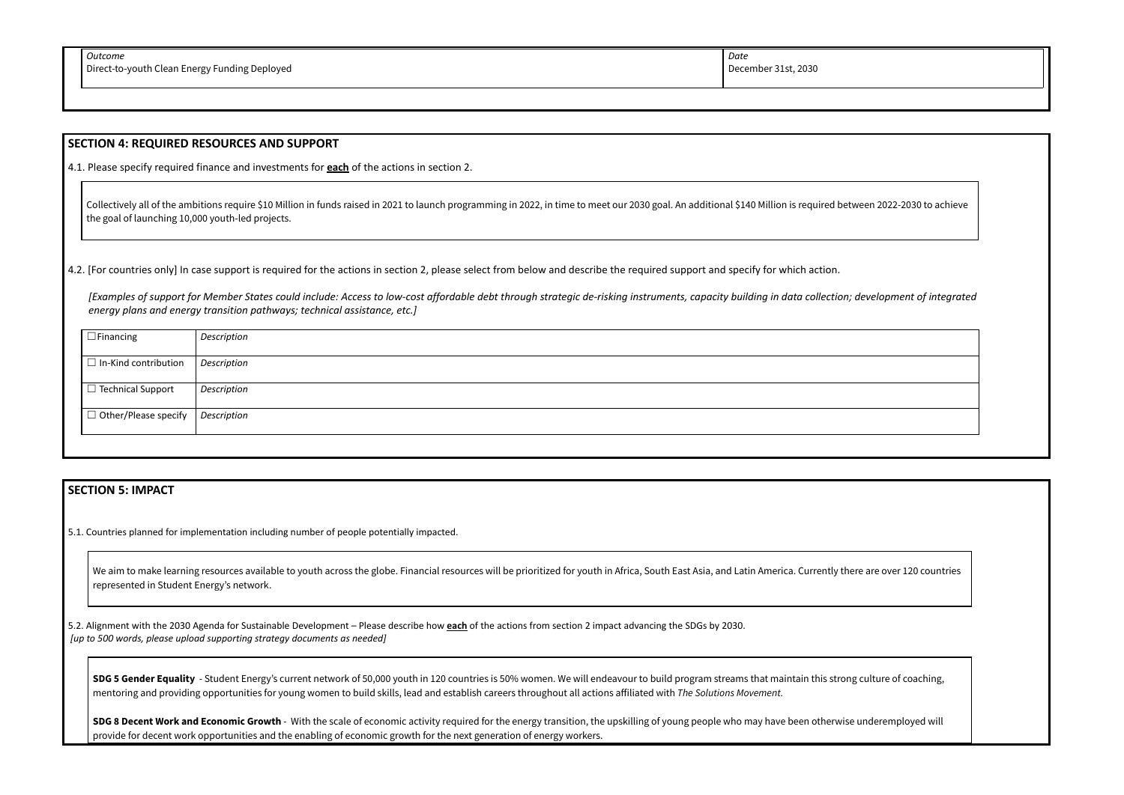### **SECTION 4: REQUIRED RESOURCES AND SUPPORT**

4.1. Please specify required finance and investments for **each** of the actions in section 2.

Collectively all of the ambitions require \$10 Million in funds raised in 2021 to launch programming in 2022, in time to meet our 2030 goal. An additional \$140 Million is required between 2022-2030 to achieve the goal of launching 10,000 youth-led projects.

4.2. [For countries only] In case support is required for the actions in section 2, please select from below and describe the required support and specify for which action.

We aim to make learning resources available to youth across the globe. Financial resources will be prioritized for youth in Africa, South East Asia, and Latin America. Currently there are over 120 countries represented in Student Energy's network.

*[Examples of support for Member States could include: Access to low-cost affordable debt through strategic de-risking instruments, capacity building in data collection; development of integrated energy plans and energy transition pathways; technical assistance, etc.]*

| $\Box$ Financing                   | Description |
|------------------------------------|-------------|
|                                    |             |
| $\Box$ In-Kind contribution        | Description |
|                                    |             |
| □ Technical Support                | Description |
|                                    |             |
| $\Box$ Other/Please specify $\Box$ | Description |
|                                    |             |
|                                    |             |

**SDG 5 Gender Equality** - Student Energy's current network of 50,000 youth in 120 countries is 50% women. We will endeavour to build program streams that maintain this strong culture of coaching, mentoring and providing opportunities for young women to build skills, lead and establish careers throughout all actions affiliated with *The Solutions Movement.*

# **SECTION 5: IMPACT**

5.1. Countries planned for implementation including number of people potentially impacted.

SDG 8 Decent Work and Economic Growth - With the scale of economic activity required for the energy transition, the upskilling of young people who may have been otherwise underemployed will provide for decent work opportunities and the enabling of economic growth for the next generation of energy workers.



5.2. Alignment with the 2030 Agenda for Sustainable Development – Please describe how **each** of the actions from section 2 impact advancing the SDGs by 2030. *[up to 500 words, please upload supporting strategy documents as needed]*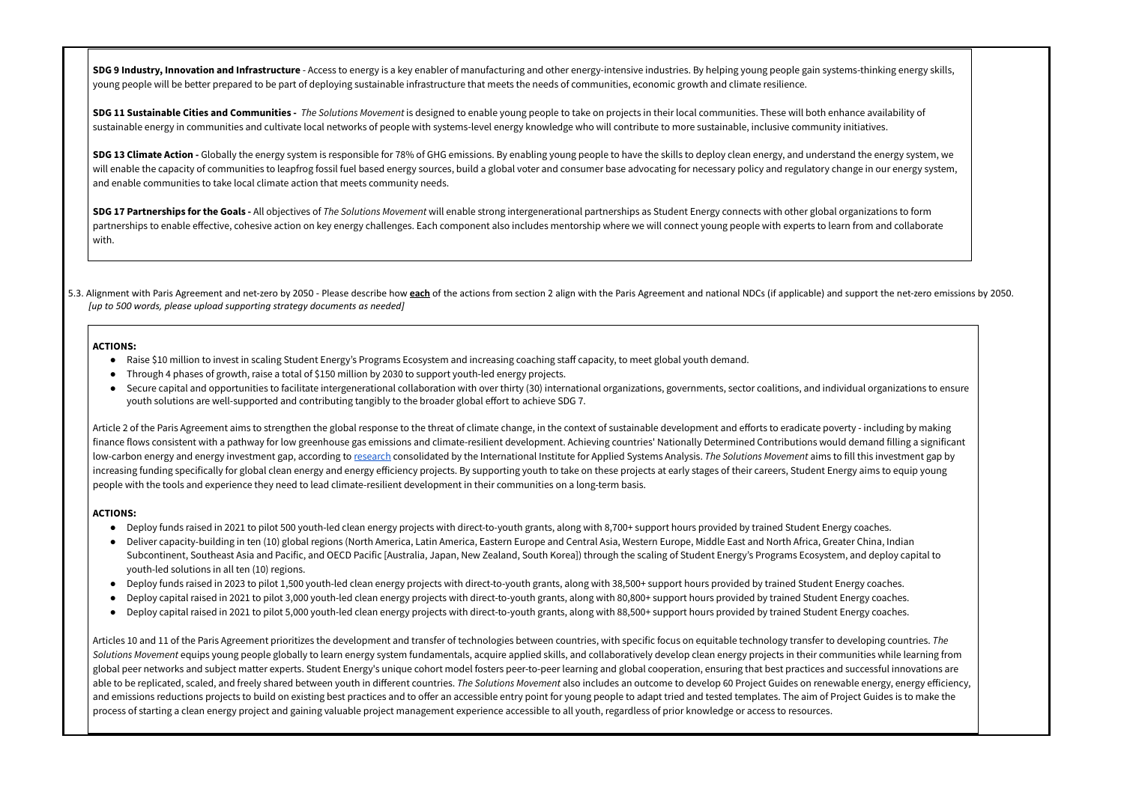SDG 9 Industry, Innovation and Infrastructure - Access to energy is a key enabler of manufacturing and other energy-intensive industries. By helping young people gain systems-thinking energy skills, young people will be better prepared to be part of deploying sustainable infrastructure that meets the needs of communities, economic growth and climate resilience.

SDG 11 Sustainable Cities and Communities - The Solutions Movement is designed to enable young people to take on projects in their local communities. These will both enhance availability of sustainable energy in communities and cultivate local networks of people with systems-level energy knowledge who will contribute to more sustainable, inclusive community initiatives.

SDG 13 Climate Action - Globally the energy system is responsible for 78% of GHG emissions. By enabling young people to have the skills to deploy clean energy, and understand the energy system, we will enable the capacity of communities to leapfrog fossil fuel based energy sources, build a global voter and consumer base advocating for necessary policy and regulatory change in our energy system, and enable communities to take local climate action that meets community needs.

SDG 17 Partnerships for the Goals - All objectives of The Solutions Movement will enable strong intergenerational partnerships as Student Energy connects with other global organizations to form partnerships to enable effective, cohesive action on key energy challenges. Each component also includes mentorship where we will connect young people with experts to learn from and collaborate with.

5.3. Alignment with Paris Agreement and net-zero by 2050 - Please describe how each of the actions from section 2 align with the Paris Agreement and national NDCs (if applicable) and support the net-zero emissions by 2050. *[up to 500 words, please upload supporting strategy documents as needed]*

- Raise \$10 million to invest in scaling Student Energy's Programs Ecosystem and increasing coaching staff capacity, to meet global youth demand.
- Through 4 phases of growth, raise a total of \$150 million by 2030 to support youth-led energy projects.
- Secure capital and opportunities to facilitate intergenerational collaboration with over thirty (30) international organizations, governments, sector coalitions, and individual organizations to ensure youth solutions are well-supported and contributing tangibly to the broader global effort to achieve SDG 7.

Article 2 of the Paris Agreement aims to strengthen the global response to the threat of climate change, in the context of sustainable development and efforts to eradicate poverty - including by making finance flows consistent with a pathway for low greenhouse gas emissions and climate-resilient development. Achieving countries' Nationally Determined Contributions would demand filling a significant low-carbon energy and energy investment gap, according to [research](https://unfccc.int/sites/default/files/resource/367_Investments_Policy_Brief_2018-10-26.pdf) consolidated by the International Institute for Applied Systems Analysis. *The Solutions Movement* aims to fill this investment gap by increasing funding specifically for global clean energy and energy efficiency projects. By supporting youth to take on these projects at early stages of their careers, Student Energy aims to equip young people with the tools and experience they need to lead climate-resilient development in their communities on a long-term basis.

#### **ACTIONS:**

#### **ACTIONS:**

- Deploy funds raised in 2021 to pilot 500 youth-led clean energy projects with direct-to-youth grants, along with 8,700+ support hours provided by trained Student Energy coaches.
- Deliver capacity-building in ten (10) global regions (North America, Latin America, Eastern Europe and Central Asia, Western Europe, Middle East and North Africa, Greater China, Indian Subcontinent, Southeast Asia and Pacific, and OECD Pacific [Australia, Japan, New Zealand, South Korea]) through the scaling of Student Energy's Programs Ecosystem, and deploy capital to youth-led solutions in all ten (10) regions.
- Deploy funds raised in 2023 to pilot 1,500 youth-led clean energy projects with direct-to-youth grants, along with 38,500+ support hours provided by trained Student Energy coaches.
- Deploy capital raised in 2021 to pilot 3,000 youth-led clean energy projects with direct-to-youth grants, along with 80,800+ support hours provided by trained Student Energy coaches.
- Deploy capital raised in 2021 to pilot 5,000 youth-led clean energy projects with direct-to-youth grants, along with 88,500+ support hours provided by trained Student Energy coaches.

Articles 10 and 11 of the Paris Agreement prioritizes the development and transfer of technologies between countries, with specific focus on equitable technology transfer to developing countries. *The* Solutions Movement equips young people globally to learn energy system fundamentals, acquire applied skills, and collaboratively develop clean energy projects in their communities while learning from global peer networks and subject matter experts. Student Energy's unique cohort model fosters peer-to-peer learning and global cooperation, ensuring that best practices and successful innovations are able to be replicated, scaled, and freely shared between youth in different countries. *The Solutions Movement* also includes an outcome to develop 60 Project Guides on renewable energy, energy efficiency, and emissions reductions projects to build on existing best practices and to offer an accessible entry point for young people to adapt tried and tested templates. The aim of Project Guides is to make the process of starting a clean energy project and gaining valuable project management experience accessible to all youth, regardless of prior knowledge or access to resources.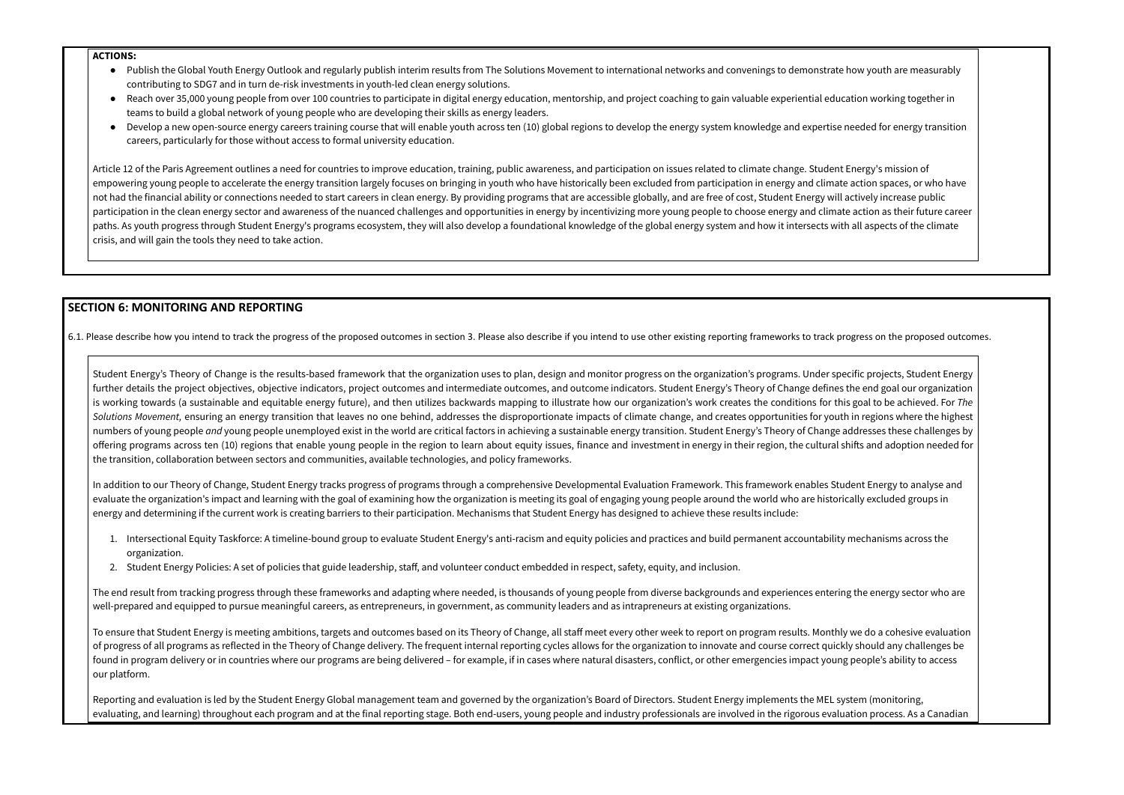#### **ACTIONS:**

- Publish the Global Youth Energy Outlook and regularly publish interim results from The Solutions Movement to international networks and convenings to demonstrate how youth are measurably contributing to SDG7 and in turn de-risk investments in youth-led clean energy solutions.
- Reach over 35,000 young people from over 100 countries to participate in digital energy education, mentorship, and project coaching to gain valuable experiential education working together in teams to build a global network of young people who are developing their skills as energy leaders.
- Develop a new open-source energy careers training course that will enable youth across ten (10) global regions to develop the energy system knowledge and expertise needed for energy transition careers, particularly for those without access to formal university education.

Article 12 of the Paris Agreement outlines a need for countries to improve education, training, public awareness, and participation on issues related to climate change. Student Energy's mission of empowering young people to accelerate the energy transition largely focuses on bringing in youth who have historically been excluded from participation in energy and climate action spaces, or who have not had the financial ability or connections needed to start careers in clean energy. By providing programs that are accessible globally, and are free of cost, Student Energy will actively increase public participation in the clean energy sector and awareness of the nuanced challenges and opportunities in energy by incentivizing more young people to choose energy and climate action as their future career paths. As youth progress through Student Energy's programs ecosystem, they will also develop a foundational knowledge of the global energy system and how it intersects with all aspects of the climate crisis, and will gain the tools they need to take action.

Student Energy's Theory of Change is the results-based framework that the organization uses to plan, design and monitor progress on the organization's programs. Under specific projects, Student Energy further details the project objectives, objective indicators, project outcomes and intermediate outcomes, and outcome indicators. Student Energy's Theory of Change defines the end goal our organization is working towards (a sustainable and equitable energy future), and then utilizes backwards mapping to illustrate how our organization's work creates the conditions for this goal to be achieved. For *The* Solutions Movement, ensuring an energy transition that leaves no one behind, addresses the disproportionate impacts of climate change, and creates opportunities for youth in regions where the highest numbers of young people *and* young people unemployed exist in the world are critical factors in achieving a sustainable energy transition. Student Energy's Theory of Change addresses these challenges by offering programs across ten (10) regions that enable young people in the region to learn about equity issues, finance and investment in energy in their region, the cultural shifts and adoption needed for the transition, collaboration between sectors and communities, available technologies, and policy frameworks.

# **SECTION 6: MONITORING AND REPORTING**

6.1. Please describe how you intend to track the progress of the proposed outcomes in section 3. Please also describe if you intend to use other existing reporting frameworks to track progress on the proposed outcomes.

The end result from tracking progress through these frameworks and adapting where needed, is thousands of young people from diverse backgrounds and experiences entering the energy sector who are well-prepared and equipped to pursue meaningful careers, as entrepreneurs, in government, as community leaders and as intrapreneurs at existing organizations.

Reporting and evaluation is led by the Student Energy Global management team and governed by the organization's Board of Directors. Student Energy implements the MEL system (monitoring, evaluating, and learning) throughout each program and at the final reporting stage. Both end-users, young people and industry professionals are involved in the rigorous evaluation process. As a Canadian

In addition to our Theory of Change, Student Energy tracks progress of programs through a comprehensive Developmental Evaluation Framework. This framework enables Student Energy to analyse and evaluate the organization's impact and learning with the goal of examining how the organization is meeting its goal of engaging young people around the world who are historically excluded groups in energy and determining if the current work is creating barriers to their participation. Mechanisms that Student Energy has designed to achieve these results include:

- 1. Intersectional Equity Taskforce: A timeline-bound group to evaluate Student Energy's anti-racism and equity policies and practices and build permanent accountability mechanisms across the organization.
- 2. Student Energy Policies: A set of policies that guide leadership, staff, and volunteer conduct embedded in respect, safety, equity, and inclusion.

To ensure that Student Energy is meeting ambitions, targets and outcomes based on its Theory of Change, all staff meet every other week to report on program results. Monthly we do a cohesive evaluation of progress of all programs as reflected in the Theory of Change delivery. The frequent internal reporting cycles allows for the organization to innovate and course correct quickly should any challenges be found in program delivery or in countries where our programs are being delivered – for example, if in cases where natural disasters, conflict, or other emergencies impact young people's ability to access our platform.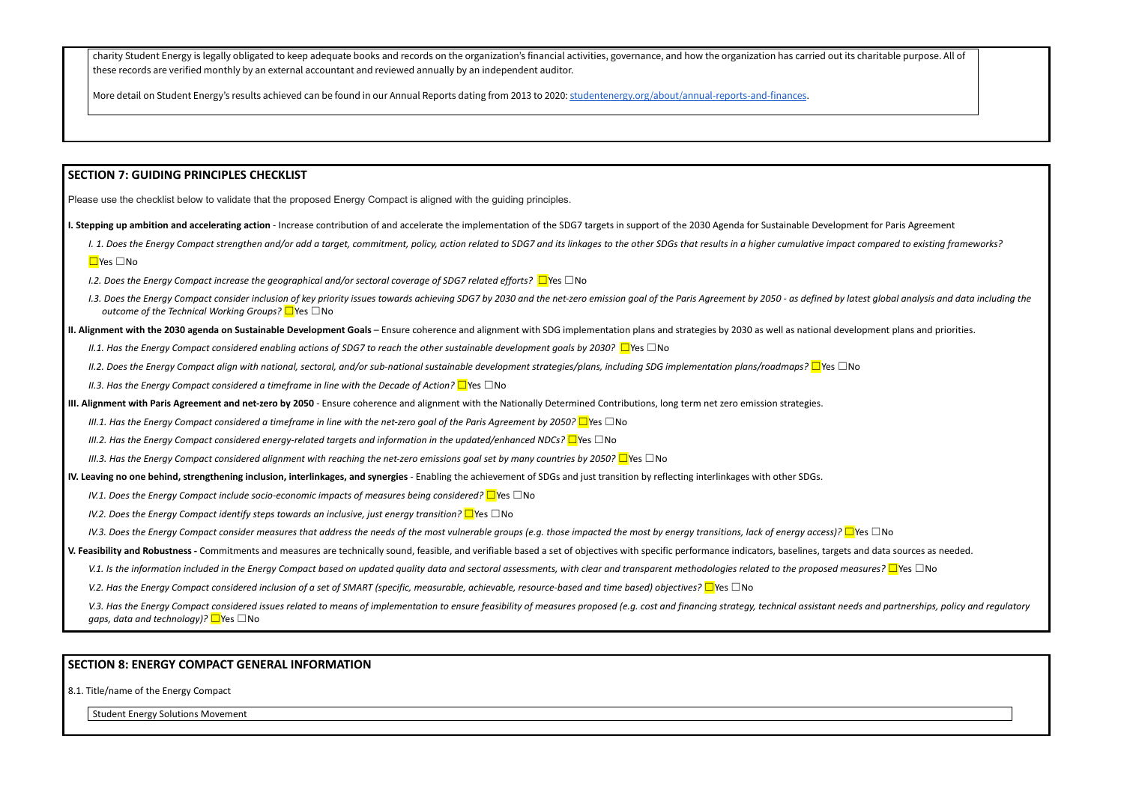charity Student Energy is legally obligated to keep adequate books and records on the organization's financial activities, governance, and how the organization has carried out its charitable purpose. All of these records are verified monthly by an external accountant and reviewed annually by an independent auditor.

More detail on Student Energy's results achieved can be found in our Annual Reports dating from 2013 to 2020: [studentenergy.org/about/annual-reports-and-finances](https://studentenergy.org/about/annual-reports-and-finances/).

# **SECTION 7: GUIDING PRINCIPLES CHECKLIST**

I. 1. Does the Energy Compact strengthen and/or add a target, commitment, policy, action related to SDG7 and its linkages to the other SDGs that results in a higher cumulative impact compared to existing frameworks? ☐Yes ☐No

Please use the checklist below to validate that the proposed Energy Compact is aligned with the guiding principles.

I. Stepping up ambition and accelerating action - Increase contribution of and accelerate the implementation of the SDG7 targets in support of the 2030 Agenda for Sustainable Development for Paris Agreement

1.3. Does the Energy Compact consider inclusion of key priority issues towards achieving SDG7 by 2030 and the net-zero emission goal of the Paris Agreement by 2050 - as defined by latest global analysis and data including *outcome of the Technical Working Groups?* ☐Yes ☐No

II. Alignment with the 2030 agenda on Sustainable Development Goals - Ensure coherence and alignment with SDG implementation plans and strategies by 2030 as well as national development plans and priorities.

II.1. Has the Energy Compact considered enabling actions of SDG7 to reach the other sustainable development goals by 2030?  $\Box$ Yes  $\Box$ No

II.2. Does the Energy Compact align with national, sectoral, and/or sub-national sustainable development strategies/plans, including SDG implementation plans/roadmaps?  $\Box$ Yes  $\Box$ No

*I.2. Does the Energy Compact increase the geographical and/or sectoral coverage of SDG7 related efforts?* ☐Yes ☐No

*II.3. Has the Energy Compact considered a timeframe in line with the Decade of Action?* ☐Yes ☐No

III. Alignment with Paris Agreement and net-zero by 2050 - Ensure coherence and alignment with the Nationally Determined Contributions, long term net zero emission strategies.

III.1. Has the Enerav Compact considered a timeframe in line with the net-zero aoal of the Paris Aareement by 2050?  $\Box$  Yes  $\Box$  No

*III.2. Has the Energy Compact considered energy-related targets and information in the updated/enhanced NDCs?* ☐Yes ☐No

III.3. Has the Energy Compact considered alignment with reaching the net-zero emissions goal set by many countries by 2050?  $\Box$ Yes  $\Box$ No

IV. Leaving no one behind, strengthening inclusion, interlinkages, and synergies - Enabling the achievement of SDGs and just transition by reflecting interlinkages with other SDGs.

*IV.1. Does the Energy Compact include socio-economic impacts of measures being considered?* ☐Yes ☐No

*IV.2. Does the Energy Compact identify steps towards an inclusive, just energy transition?* ☐Yes ☐No

IV.3. Does the Eneray Compact consider measures that address the needs of the most vulnerable aroups (e.g. those impacted the most by eneray transitions, lack of eneray access)?  $\Box$  Yes  $\Box$  No

V. Feasibility and Robustness - Commitments and measures are technically sound, feasible, and verifiable based a set of objectives with specific performance indicators, baselines, targets and data sources as needed.

V.1. Is the information included in the Eneray Compact based on updated auality data and sectoral assessments, with clear and transparent methodologies related to the proposed measures?  $\square$  Yes  $\square$  No

V.2. Has the Eneray Compact considered inclusion of a set of SMART (specific, measurable, achievable, resource-based and time based) objectives?  $\Box$  Yes  $\Box$  No

V.3. Has the Eneray Compact considered issues related to means of implementation to ensure feasibility of measures proposed (e.g. cost and financina strateay, technical assistant needs and partnerships, policy and reaulato *gaps, data and technology)?* □Yes □No

### **SECTION 8: ENERGY COMPACT GENERAL INFORMATION**

8.1. Title/name of the Energy Compact

Student Energy Solutions Movement